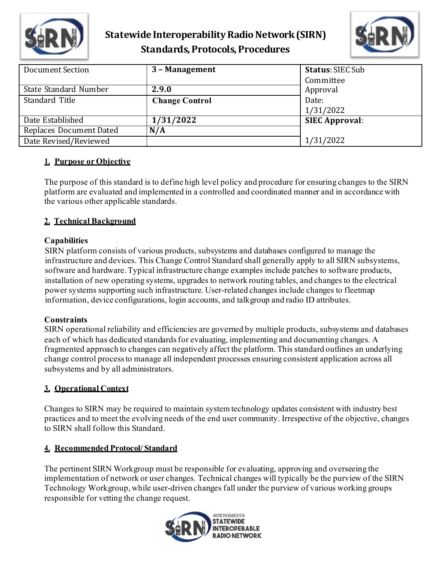

# **Statewide Interoperability Radio Network(SIRN) Standards, Protocols, Procedures**



| Document Section               | 3 - Management        | <b>Status: SIEC Sub</b><br>Committee |  |
|--------------------------------|-----------------------|--------------------------------------|--|
| State Standard Number          | 2.9.0                 | Approval                             |  |
| Standard Title                 | <b>Change Control</b> | Date:                                |  |
|                                |                       | 1/31/2022                            |  |
| Date Established               | 1/31/2022             | <b>SIEC Approval:</b>                |  |
| <b>Replaces Document Dated</b> | N/A                   |                                      |  |
| Date Revised/Reviewed          |                       | 1/31/2022                            |  |

## **1. Purpose or Objective**

The purpose of this standard is to define high level policy and procedure for ensuring changes to the SIRN platform are evaluated and implemented in a controlled and coordinated manner and in accordance with the various other applicable standards.

# **2. Technical Background**

## **Capabilities**

SIRN platform consists of various products, subsystems and databases configured to manage the infrastructure and devices. This Change Control Standard shall generally apply to all SIRN subsystems, software and hardware. Typical infrastructure change examples include patches to software products, installation of new operating systems, upgrades to network routing tables, and changes to the electrical power systems supporting such infrastructure. User-related changes include changes to fleetmap information, device configurations, login accounts, and talkgroup and radio ID attributes.

### **Constraints**

SIRN operational reliability and efficiencies are governed by multiple products, subsystems and databases each of which has dedicated standards for evaluating, implementing and documenting changes. A fragmented approach to changes can negatively affect the platform. This standard outlines an underlying change control process to manage all independent processes ensuring consistent application across all subsystems and by all administrators.

### **3. Operational Context**

Changes to SIRN may be required to maintain system technology updates consistent with industry best practices and to meet the evolving needs of the end user community. Irrespective of the objective, changes to SIRN shall follow this Standard.

# **4. Recommended Protocol/ Standard**

The pertinent SIRN Workgroup must be responsible for evaluating, approving and overseeing the implementation of network or user changes. Technical changes will typically be the purview of the SIRN Technology Workgroup, while user-driven changes fall under the purview of various working groups responsible for vetting the change request.

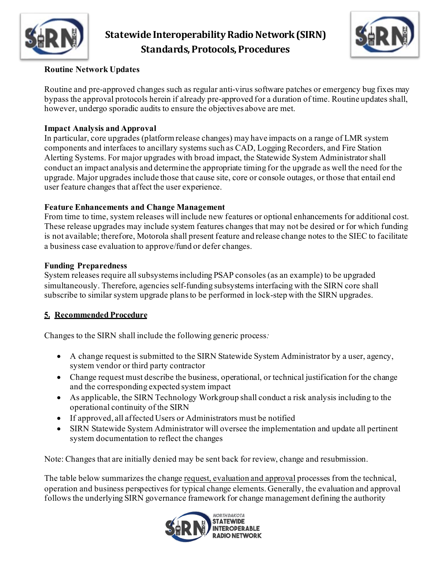

# **Statewide Interoperability Radio Network(SIRN) Standards, Protocols, Procedures**



## **Routine Network Updates**

Routine and pre-approved changes such as regular anti-virus software patches or emergency bug fixes may bypass the approval protocols herein if already pre-approved for a duration of time. Routine updates shall, however, undergo sporadic audits to ensure the objectives above are met.

### **Impact Analysis and Approval**

In particular, core upgrades (platform release changes) may have impacts on a range of LMR system components and interfaces to ancillary systems such as CAD, Logging Recorders, and Fire Station Alerting Systems. For major upgrades with broad impact, the Statewide System Administrator shall conduct an impact analysis and determine the appropriate timing for the upgrade as well the need for the upgrade. Major upgrades include those that cause site, core or console outages, or those that entail end user feature changes that affect the user experience.

### **Feature Enhancements and Change Management**

From time to time, system releases will include new features or optional enhancements for additional cost. These release upgrades may include system features changes that may not be desired or for which funding is not available; therefore, Motorola shall present feature and release change notes to the SIEC to facilitate a business case evaluation to approve/fund or defer changes.

### **Funding Preparedness**

System releases require all subsystems including PSAP consoles (as an example) to be upgraded simultaneously. Therefore, agencies self-funding subsystems interfacing with the SIRN core shall subscribe to similar system upgrade plans to be performed in lock-step with the SIRN upgrades.

# **5. Recommended Procedure**

Changes to the SIRN shall include the following generic process*:*

- A change request is submitted to the SIRN Statewide System Administrator by a user, agency, system vendor or third party contractor
- Change request must describe the business, operational, or technical justification for the change and the corresponding expected system impact
- As applicable, the SIRN Technology Workgroup shall conduct a risk analysis including to the operational continuity of the SIRN
- If approved, all affected Users or Administrators must be notified
- SIRN Statewide System Administrator will oversee the implementation and update all pertinent system documentation to reflect the changes

Note: Changes that are initially denied may be sent back for review, change and resubmission.

The table below summarizes the change request, evaluation and approval processes from the technical, operation and business perspectives for typical change elements. Generally, the evaluation and approval follows the underlying SIRN governance framework for change management defining the authority